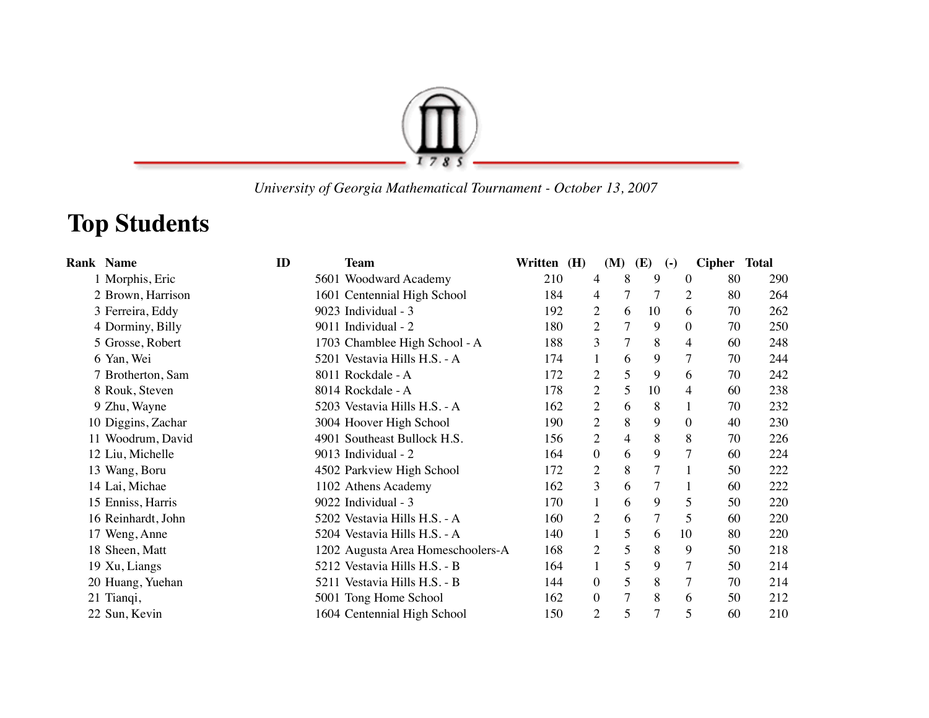

 *University of Georgia Mathematical Tournament - October 13, 2007*

## **Top Students**

| <b>Rank Name</b>   | ID | <b>Team</b>                       | Written (H) |                  | (M)            | <b>(E)</b>     | $\left( -\right)$ | Cipher Total |     |
|--------------------|----|-----------------------------------|-------------|------------------|----------------|----------------|-------------------|--------------|-----|
| 1 Morphis, Eric    |    | 5601 Woodward Academy             | 210         | 4                | 8              | 9              | $\theta$          | 80           | 290 |
| 2 Brown, Harrison  |    | 1601 Centennial High School       | 184         | 4                | 7              | 7              | 2                 | 80           | 264 |
| 3 Ferreira, Eddy   |    | 9023 Individual - 3               | 192         | 2                | 6              | 10             | 6                 | 70           | 262 |
| 4 Dorminy, Billy   |    | 9011 Individual - 2               | 180         | $\overline{2}$   | 7              | 9              | $\theta$          | 70           | 250 |
| 5 Grosse, Robert   |    | 1703 Chamblee High School - A     | 188         | 3                | 7              | 8              | 4                 | 60           | 248 |
| 6 Yan, Wei         |    | 5201 Vestavia Hills H.S. - A      | 174         |                  | 6              | 9              | $\overline{7}$    | 70           | 244 |
| 7 Brotherton, Sam  |    | 8011 Rockdale - A                 | 172         | 2                | 5              | 9              | 6                 | 70           | 242 |
| 8 Rouk, Steven     |    | 8014 Rockdale - A                 | 178         | $\overline{c}$   | 5              | 10             | 4                 | 60           | 238 |
| 9 Zhu, Wayne       |    | 5203 Vestavia Hills H.S. - A      | 162         | $\overline{2}$   | 6              | 8              | 1                 | 70           | 232 |
| 10 Diggins, Zachar |    | 3004 Hoover High School           | 190         | $\overline{2}$   | 8              | 9              | $\theta$          | 40           | 230 |
| 11 Woodrum, David  |    | 4901 Southeast Bullock H.S.       | 156         | $\overline{c}$   | $\overline{4}$ | 8              | 8                 | 70           | 226 |
| 12 Liu, Michelle   |    | 9013 Individual - 2               | 164         | $\boldsymbol{0}$ | 6              | 9              | $\tau$            | 60           | 224 |
| 13 Wang, Boru      |    | 4502 Parkview High School         | 172         | $\overline{2}$   | 8              | $\overline{7}$ |                   | 50           | 222 |
| 14 Lai, Michae     |    | 1102 Athens Academy               | 162         | 3                | 6              | 7              |                   | 60           | 222 |
| 15 Enniss, Harris  |    | 9022 Individual - 3               | 170         | $\mathbf{1}$     | 6              | 9              | 5                 | 50           | 220 |
| 16 Reinhardt, John |    | 5202 Vestavia Hills H.S. - A      | 160         | 2                | 6              | 7              | 5                 | 60           | 220 |
| 17 Weng, Anne      |    | 5204 Vestavia Hills H.S. - A      | 140         | $\mathbf{1}$     | 5              | 6              | 10                | 80           | 220 |
| 18 Sheen, Matt     |    | 1202 Augusta Area Homeschoolers-A | 168         | 2                | 5              | 8              | 9                 | 50           | 218 |
| 19 Xu, Liangs      |    | 5212 Vestavia Hills H.S. - B      | 164         |                  | 5              | 9              | 7                 | 50           | 214 |
| 20 Huang, Yuehan   |    | 5211 Vestavia Hills H.S. - B      | 144         | $\overline{0}$   | 5              | 8              | $\tau$            | 70           | 214 |
| 21 Tianqi,         |    | 5001 Tong Home School             | 162         | $\boldsymbol{0}$ | $\overline{7}$ | 8              | 6                 | 50           | 212 |
| 22 Sun, Kevin      |    | 1604 Centennial High School       | 150         | $\mathfrak{2}$   | 5              | $\overline{7}$ | 5                 | 60           | 210 |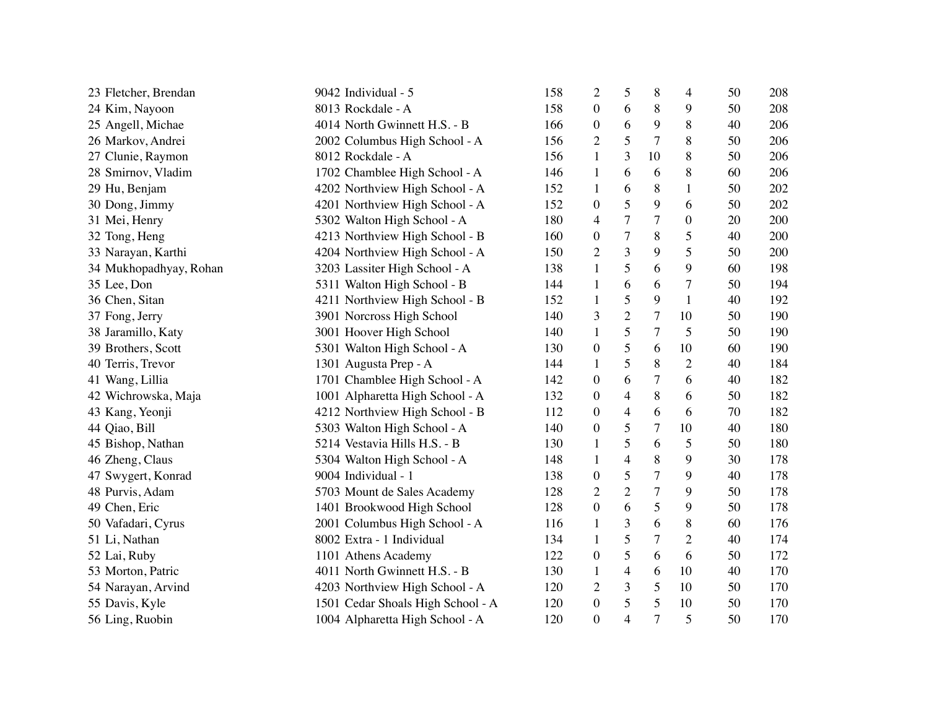| 23 Fletcher, Brendan   | 9042 Individual - 5               | 158 | $\overline{c}$   | 5                        | 8              | 4                | 50 | 208 |
|------------------------|-----------------------------------|-----|------------------|--------------------------|----------------|------------------|----|-----|
| 24 Kim, Nayoon         | 8013 Rockdale - A                 | 158 | $\theta$         | 6                        | 8              | 9                | 50 | 208 |
| 25 Angell, Michae      | 4014 North Gwinnett H.S. - B      | 166 | $\boldsymbol{0}$ | 6                        | 9              | 8                | 40 | 206 |
| 26 Markov, Andrei      | 2002 Columbus High School - A     | 156 | 2                | 5                        | $\overline{7}$ | 8                | 50 | 206 |
| 27 Clunie, Raymon      | 8012 Rockdale - A                 | 156 | 1                | 3                        | 10             | 8                | 50 | 206 |
| 28 Smirnov, Vladim     | 1702 Chamblee High School - A     | 146 | 1                | 6                        | 6              | 8                | 60 | 206 |
| 29 Hu, Benjam          | 4202 Northview High School - A    | 152 | 1                | 6                        | 8              | 1                | 50 | 202 |
| 30 Dong, Jimmy         | 4201 Northview High School - A    | 152 | $\boldsymbol{0}$ | 5                        | 9              | 6                | 50 | 202 |
| 31 Mei, Henry          | 5302 Walton High School - A       | 180 | 4                | 7                        | $\tau$         | $\boldsymbol{0}$ | 20 | 200 |
| 32 Tong, Heng          | 4213 Northview High School - B    | 160 | $\boldsymbol{0}$ | 7                        | 8              | 5                | 40 | 200 |
| 33 Narayan, Karthi     | 4204 Northview High School - A    | 150 | $\overline{c}$   | 3                        | 9              | 5                | 50 | 200 |
| 34 Mukhopadhyay, Rohan | 3203 Lassiter High School - A     | 138 | $\mathbf{1}$     | 5                        | 6              | 9                | 60 | 198 |
| 35 Lee, Don            | 5311 Walton High School - B       | 144 | $\mathbf{1}$     | 6                        | 6              | 7                | 50 | 194 |
| 36 Chen, Sitan         | 4211 Northview High School - B    | 152 | $\mathbf{1}$     | 5                        | 9              | 1                | 40 | 192 |
| 37 Fong, Jerry         | 3901 Norcross High School         | 140 | 3                | $\overline{2}$           | $\tau$         | 10               | 50 | 190 |
| 38 Jaramillo, Katy     | 3001 Hoover High School           | 140 | $\mathbf{1}$     | 5                        | $\tau$         | 5                | 50 | 190 |
| 39 Brothers, Scott     | 5301 Walton High School - A       | 130 | $\boldsymbol{0}$ | 5                        | 6              | 10               | 60 | 190 |
| 40 Terris, Trevor      | 1301 Augusta Prep - A             | 144 | 1                | 5                        | 8              | $\overline{2}$   | 40 | 184 |
| 41 Wang, Lillia        | 1701 Chamblee High School - A     | 142 | $\boldsymbol{0}$ | 6                        | $\tau$         | 6                | 40 | 182 |
| 42 Wichrowska, Maja    | 1001 Alpharetta High School - A   | 132 | $\boldsymbol{0}$ | $\overline{\mathcal{L}}$ | 8              | 6                | 50 | 182 |
| 43 Kang, Yeonji        | 4212 Northview High School - B    | 112 | $\boldsymbol{0}$ | $\overline{4}$           | 6              | 6                | 70 | 182 |
| 44 Qiao, Bill          | 5303 Walton High School - A       | 140 | $\boldsymbol{0}$ | 5                        | 7              | 10               | 40 | 180 |
| 45 Bishop, Nathan      | 5214 Vestavia Hills H.S. - B      | 130 | 1                | 5                        | 6              | 5                | 50 | 180 |
| 46 Zheng, Claus        | 5304 Walton High School - A       | 148 | $\mathbf{1}$     | 4                        | 8              | 9                | 30 | 178 |
| 47 Swygert, Konrad     | 9004 Individual - 1               | 138 | $\boldsymbol{0}$ | 5                        | $\tau$         | 9                | 40 | 178 |
| 48 Purvis, Adam        | 5703 Mount de Sales Academy       | 128 | $\overline{c}$   | $\mathbf{2}$             | $\tau$         | 9                | 50 | 178 |
| 49 Chen, Eric          | 1401 Brookwood High School        | 128 | $\boldsymbol{0}$ | 6                        | 5              | 9                | 50 | 178 |
| 50 Vafadari, Cyrus     | 2001 Columbus High School - A     | 116 | $\mathbf{1}$     | 3                        | 6              | 8                | 60 | 176 |
| 51 Li, Nathan          | 8002 Extra - 1 Individual         | 134 | $\mathbf{1}$     | 5                        | 7              | $\mathbf{2}$     | 40 | 174 |
| 52 Lai, Ruby           | 1101 Athens Academy               | 122 | $\boldsymbol{0}$ | 5                        | 6              | 6                | 50 | 172 |
| 53 Morton, Patric      | 4011 North Gwinnett H.S. - B      | 130 | 1                | $\overline{4}$           | 6              | 10               | 40 | 170 |
| 54 Narayan, Arvind     | 4203 Northview High School - A    | 120 | 2                | 3                        | 5              | 10               | 50 | 170 |
| 55 Davis, Kyle         | 1501 Cedar Shoals High School - A | 120 | $\boldsymbol{0}$ | 5                        | 5              | 10               | 50 | 170 |
| 56 Ling, Ruobin        | 1004 Alpharetta High School - A   | 120 | $\overline{0}$   | 4                        | $\overline{7}$ | 5                | 50 | 170 |